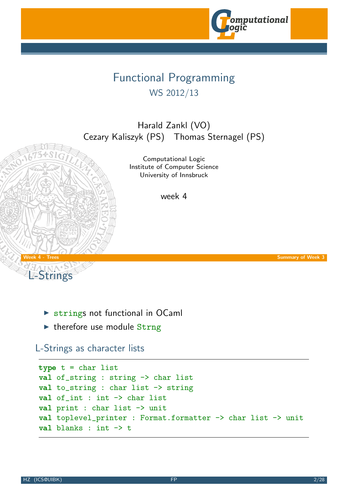

## Functional Programming WS 2012/13

Harald Zankl (VO) Cezary Kaliszyk (PS) Thomas Sternagel (PS)

> Computational Logic Institute of Computer Science University of Innsbruck

> > week 4



L-Strings

- $\triangleright$  strings not functional in OCaml
- $\blacktriangleright$  therefore use module Strng

### L-Strings as character [lists](http://cl-informatik.uibk.ac.at)

```
type t = char listval of_string : string -> char list
val to_string : char list -> string
val of_int : int -> char list
val print : char list \rightarrow unit
val toplevel_printer : Format.formatter -> char list -> unit
val blanks : int -> t
```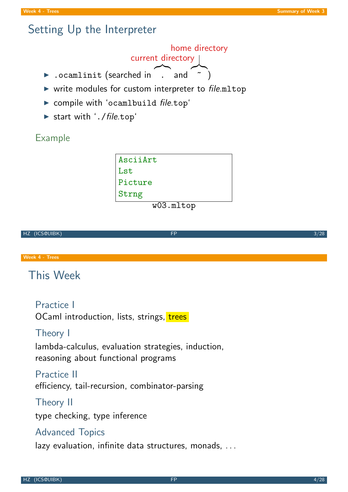## Setting Up the Interpreter

current directory home directory

- ▶ .ocamlinit (searched in (and  $\sim$  $\tilde{\hspace{0.5cm}}$  )
- $\triangleright$  write modules for custom interpreter to file.mltop
- $\triangleright$  compile with 'ocamlbuild file.top'
- $\triangleright$  start with  $'.$  / file.top $'$

Example

| AsciiArt |  |  |
|----------|--|--|
| Lst      |  |  |
| Picture  |  |  |
| Strng    |  |  |
|          |  |  |

w03.mltop

# HZ (ICS@UIBK) 3/28

Week 4 - Trees

## This Week

Practice I

OCaml introduction, lists, strings, trees

### Theory I

lambda-calculus, evaluation strategies, induction, reasoning about functional programs

#### Practice II

efficiency, tail-recursion, combinator-parsing

#### Theory II

type checking, type inference

#### Advanced Topics

lazy evaluation, infinite data structures, monads, ...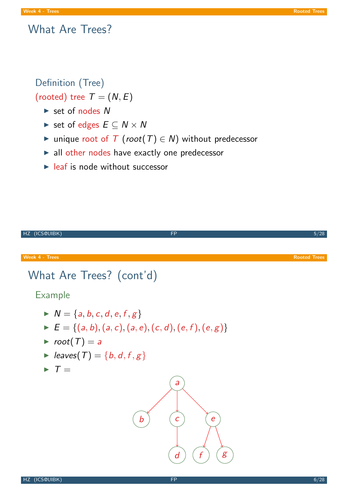### What Are Trees?

Definition (Tree) (rooted) tree  $T = (N, E)$ 

- $\triangleright$  set of nodes N
- $\triangleright$  set of edges  $E \subset N \times N$
- ► unique root of  $T$  (root( $T$ )  $\in$  N) without predecessor
- $\blacktriangleright$  all other nodes have exactly one predecessor
- $\blacktriangleright$  leaf is node without successor

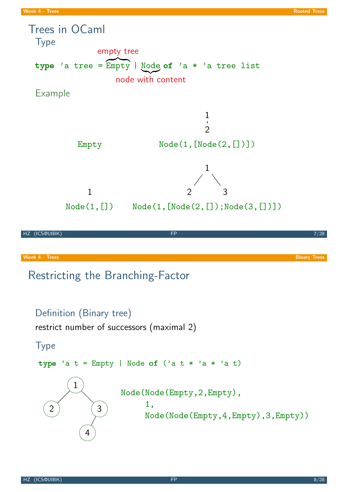<span id="page-3-0"></span>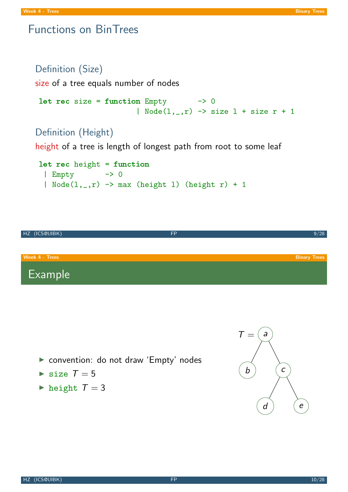### Functions on BinTrees

```
Definition (Size)
```
size of a tree equals number of nodes

```
let rec size = function Empty \rightarrow 0| Node(1, _r) -> size 1 + size r + 1
```
### Definition (Height)

height of a tree is length of longest path from root to some leaf

```
let rec height = function
 | Empty -> 0
 | Node(1, _-, r) \rightarrow max (height 1) (height r) + 1
```


- **De convention: do not draw 'Empty' nodes**
- $\triangleright$  size  $T = 5$
- $\blacktriangleright$  height  $T = 3$

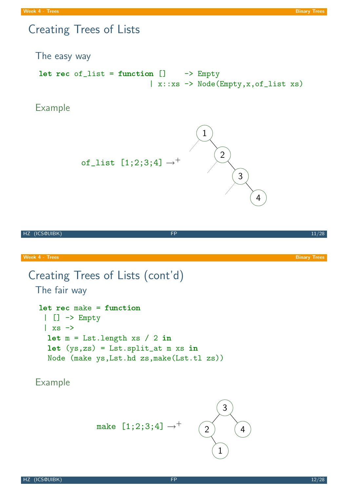## Creating Trees of Lists

The easy way

let rec of\_list = function  $[] \longrightarrow$  Empty | x::xs -> Node(Empty,x,of\_list xs)

Example



| HZ (ICS@UIBK)                                                                                                            | <b>FP</b>                                 |                     | $\frac{1}{11/28}$   |
|--------------------------------------------------------------------------------------------------------------------------|-------------------------------------------|---------------------|---------------------|
|                                                                                                                          |                                           |                     |                     |
| <b>Week 4 - Trees</b>                                                                                                    |                                           |                     | <b>Binary Trees</b> |
| The fair way                                                                                                             | Creating Trees of Lists (cont'd)          |                     |                     |
| $let$ rec make = function<br>$ $ $[$ $\rightarrow$ Empty<br>$\vert$ xs $\rightarrow$                                     |                                           |                     |                     |
| $let m = List.length xs / 2 in$<br>$let (ys, zs) = List.split_at m xs in$<br>Node (make ys, Lst.hd zs, make (Lst.tl zs)) |                                           |                     |                     |
| <b>Example</b>                                                                                                           |                                           |                     |                     |
|                                                                                                                          |                                           | 3                   |                     |
|                                                                                                                          | make $[1;2;3;4] \rightarrow$ <sup>+</sup> | $\overline{2}$<br>4 |                     |

1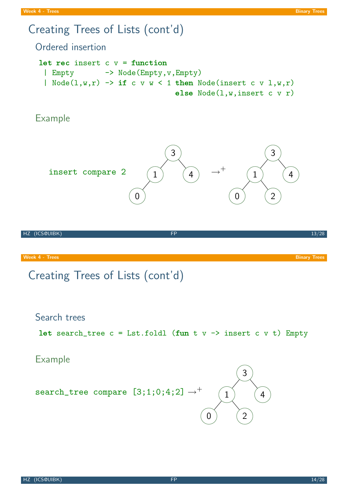## Creating Trees of Lists (cont'd)

Ordered insertion

```
let rec insert c v = function
 | Empty -> Node(Empty,v,Empty)
 | Node(1, w, r) -> if c v w < 1 then Node(insert c v 1, w, r)
                               else Node(l,w,insert c v r)
```
Example



HZ (ICS@UIBK) FP 13/28

Week 4 - Trees Binary Trees Binary Trees Binary Trees Binary Trees Binary Trees Binary Trees Binary Trees Binary Trees

## Creating Trees of Lists (cont'd)

#### Search trees

```
let search_tree c = Lst.foldl (fun t v \rightarrow insert c \vee v) Empty
```
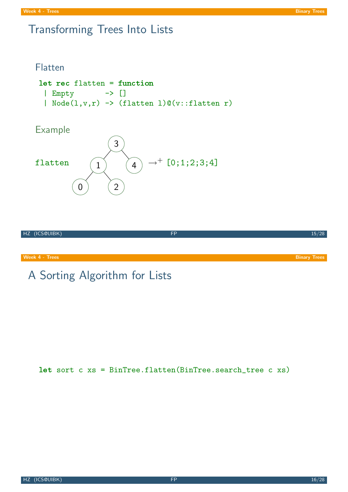## Transforming Trees Into Lists

#### Flatten

```
let rec flatten = function
 | Empty -> []
 | Node(l,v,r) -> (flatten l)@(v::flatten r)
```
### Example





#### **Week 4 - Trees Binary Trees** Binary Trees Binary Trees Binary Trees Binary Trees Binary Trees Binary Trees Binary

## A Sorting Algorithm for Lists

let sort c xs = BinTree.flatten(BinTree.search\_tree c xs)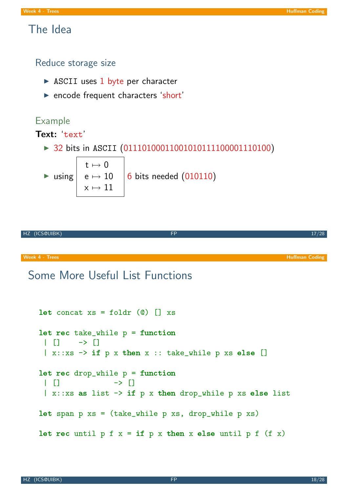### The Idea

Reduce storage size

- $\triangleright$  ASCII uses 1 byte per character
- **Exercise Frequent characters 'short'**

#### Example

#### Text: text'

▶ 32 bits in ASCII (01110100011001010111100001110100)

 $\blacktriangleright$  using  $t \mapsto 0$  $\text{e}\mapsto 10$  $x \mapsto 11$ 6 bits needed (010110)

$$
HZ (ICS@UIBK) \qquad \qquad \text{FP} \qquad \qquad \text{17/28}
$$

Week 4 - Trees Huffman Coding Communication and the Communication of the Communication of the Huffman Coding Huffman Coding

## Some More Useful List Functions

```
let concat xs = foldr (0) [] xslet rec take_while p = function
 | | | | | \rightarrow |\vert x::xs \rightarrow if p x then x :: take_while p xs else []
let rec drop_while p = function\begin{array}{ccc} \vert & \vert & \vert \end{array}|x:txs as list \rightarrow if p x then drop_while p xs else list
let span p xs = (take_while p xs, drop_while p xs)
let rec until p f x = if p x then x else until p f (f x)
```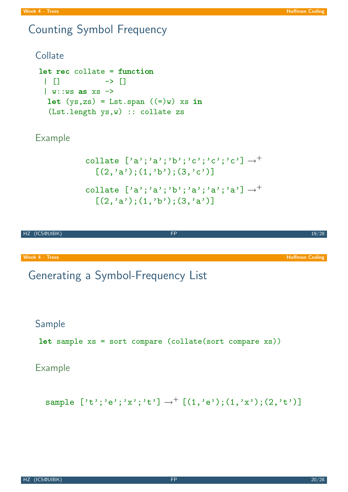## Counting Symbol Frequency

### **Collate** let rec collate = function  $| 1 \t1$   $-2 \t1$  $|$  w:: ws as  $xs$  -> let  $(ys, zs) = List_span ((=)w) xs in$ (Lst.length ys,w) :: collate zs

\n
$$
\text{collate } [\text{'a'}; \text{'a'}; \text{'b'}; \text{'c'}; \text{'c'}; \text{'c'}] \rightarrow^+
$$
\n

\n\n $\left[ (2, \text{'a'}); (1, \text{'b'}); (3, \text{'c'}) \right]$ \n

\n\n $\text{collate } [\text{'a'}; \text{'a'}; \text{'b'}; \text{'a'}; \text{'a'}; \text{'a'}; \text{'a'}] \rightarrow^+$ \n

\n\n $\left[ (2, \text{'a'}); (1, \text{'b'}); (3, \text{'a'}) \right]$ \n

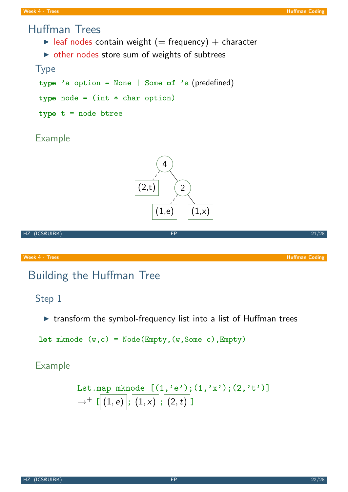### Huffman Trees

- lacktriangleright (= frequency) + character
- $\triangleright$  other nodes store sum of weights of subtrees

#### Type

type 'a option = None | Some of 'a (predefined) type node =  $(int * char option)$ type t = node btree

### Example





## Building the Huffman Tree

### Step 1

 $\triangleright$  transform the symbol-frequency list into a list of Huffman trees

```
let mknode c) = Node(Empty, (w, Some c), Empty)
```

$$
\begin{array}{ll}\n\text{Lst}.\texttt{map } \texttt{mknode} & \left[ (1, 'e'); (1, 'x'); (2, 't') \right] \\
\rightarrow^+ \left[ \left( 1, e \right) \right]; \left[ (1, x) \right]; \left[ (2, t) \right]\n\end{array}
$$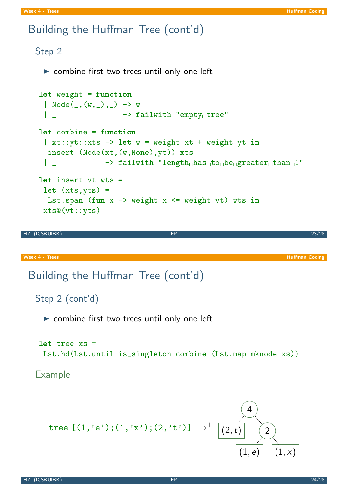## Building the Huffman Tree (cont'd)

```
Step 2
     \triangleright combine first two trees until only one left
    let weight = function
     | Node(\_,(w,\_), ) -> w
     | _ -> failwith "empty tree"
    let combine = function
     | xt::yt::xts -> let w = weight xt + weight yt in
      insert (Node(xt,(w,None),yt)) xts
     | _ -> failwith "length has to be greater than 1"
    let insert vt wts =
     let (xts, yts) =Lst.span (fun x \rightarrow weight x \leftarrow weight vt) wts in
     xts@(vt::yts)
HZ (ICS@UIBK) FP 23/28
Week 4 - Trees Huffman Coding Community Community Community Community Community Community Community Community Community Community Community Community Community Community Community Community Community Community Community 
 Building the Huffman Tree (cont'd)
   Step 2 (cont'd)
     \triangleright combine first two trees until only one left
    let tree xs =
     Lst.hd(Lst.until is_singleton combine (Lst.map mknode xs))
   Example
       tree [(1,'e');(1,'x');(2,'t')] \rightarrow4
                                                      (2,t) (2)
```
 $(1, e)$   $(1, x)$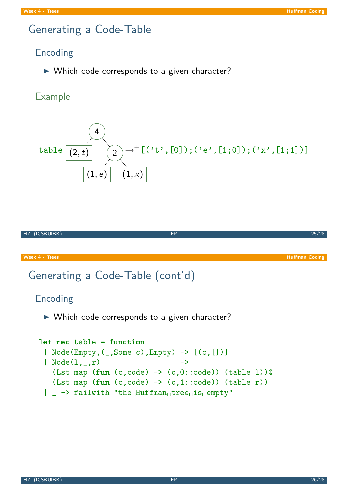## Generating a Code-Table

### Encoding

 $\triangleright$  Which code corresponds to a given character?

### Example





# Generating a Code-Table (cont'd)

### Encoding

 $\triangleright$  Which code corresponds to a given character?

```
let rec table = function
 | Node(Empty,(_,Some c),Empty) -> [(c,[])]
 | Node(1, _- ,r)(Lst.\texttt{map} (fun (c, code) \rightarrow (c, 0::code)) (table 1))@(Lst.\texttt{map} (fun (c, code) \rightarrow (c,1::code)) (table r))| _ -> failwith "the Huffman tree is empty"
```